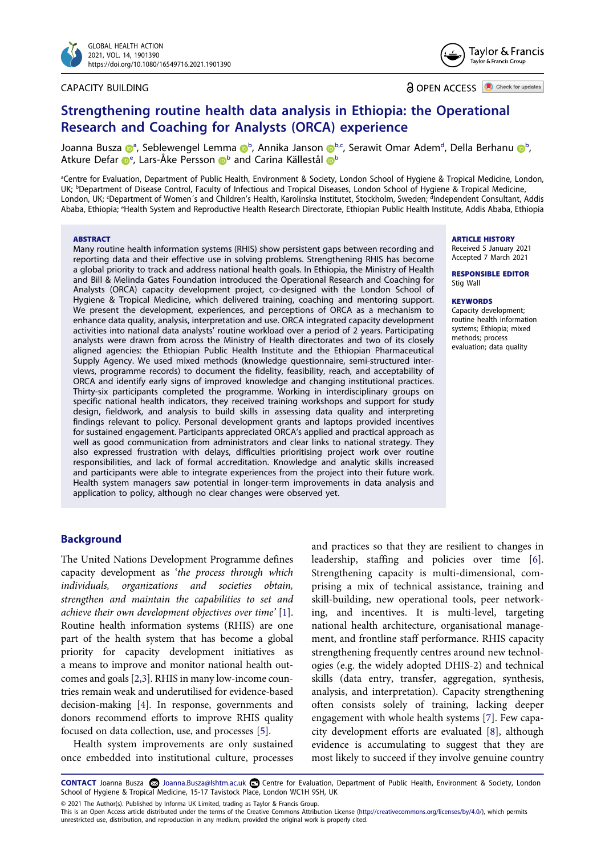

#### CAPACITY BUILDING



**a** OPEN ACCESS **a** Check for updates

# **Strengthening routine health data analysis in Ethiopia: the Operational Research and Coaching for Analysts (ORCA) experience**

Jo[a](http://orcid.org/0000-0001-5910-3723)nna Busza D<sup>a</sup>, Se[b](#page-0-1)lewe[n](http://orcid.org/0000-0001-5106-5670)gel Lemma D<sup>b</sup>, Annika Janson D<sup>b,c</sup>, Serawit Omar A[d](#page-0-2)em<sup>d</sup>, Della Berhanu D<sup>b</sup>, Atkur[e](#page-0-3) Defar  $\mathbf{D}^{\mathrm{e}}$  $\mathbf{D}^{\mathrm{e}}$  $\mathbf{D}^{\mathrm{e}}$ , Lars-Åke Persson  $\mathbf{D}^{\mathrm{b}}$  and Carina Kä[l](http://orcid.org/0000-0002-3206-6528)lestål  $\mathbf{D}^{\mathrm{b}}$ 

<span id="page-0-3"></span><span id="page-0-2"></span><span id="page-0-1"></span><span id="page-0-0"></span>a Centre for Evaluation, Department of Public Health, Environment & Society, London School of Hygiene & Tropical Medicine, London, UK; <sup>b</sup>Department of Disease Control, Faculty of Infectious and Tropical Diseases, London School of Hygiene & Tropical Medicine, London, UK; <sup>c</sup>Department of Women's and Children's Health, Karolinska Institutet, Stockholm, Sweden; <sup>d</sup>Independent Consultant, Addis Ababa, Ethiopia; e Health System and Reproductive Health Research Directorate, Ethiopian Public Health Institute, Addis Ababa, Ethiopia

#### **ABSTRACT**

Many routine health information systems (RHIS) show persistent gaps between recording and reporting data and their effective use in solving problems. Strengthening RHIS has become a global priority to track and address national health goals. In Ethiopia, the Ministry of Health and Bill & Melinda Gates Foundation introduced the Operational Research and Coaching for Analysts (ORCA) capacity development project, co-designed with the London School of Hygiene & Tropical Medicine, which delivered training, coaching and mentoring support. We present the development, experiences, and perceptions of ORCA as a mechanism to enhance data quality, analysis, interpretation and use. ORCA integrated capacity development activities into national data analysts' routine workload over a period of 2 years. Participating analysts were drawn from across the Ministry of Health directorates and two of its closely aligned agencies: the Ethiopian Public Health Institute and the Ethiopian Pharmaceutical Supply Agency. We used mixed methods (knowledge questionnaire, semi-structured interviews, programme records) to document the fidelity, feasibility, reach, and acceptability of ORCA and identify early signs of improved knowledge and changing institutional practices. Thirty-six participants completed the programme. Working in interdisciplinary groups on specific national health indicators, they received training workshops and support for study design, fieldwork, and analysis to build skills in assessing data quality and interpreting findings relevant to policy. Personal development grants and laptops provided incentives for sustained engagement. Participants appreciated ORCA's applied and practical approach as well as good communication from administrators and clear links to national strategy. They also expressed frustration with delays, difficulties prioritising project work over routine responsibilities, and lack of formal accreditation. Knowledge and analytic skills increased and participants were able to integrate experiences from the project into their future work. Health system managers saw potential in longer-term improvements in data analysis and application to policy, although no clear changes were observed yet.

**ARTICLE HISTORY** Received 5 January 2021

Accepted 7 March 2021 **RESPONSIBLE EDITOR**

Stig Wall

#### **KEYWORDS**

Capacity development; routine health information systems; Ethiopia; mixed methods; process evaluation; data quality

# **Background**

<span id="page-0-4"></span>The United Nations Development Programme defines capacity development as '*the process through which individuals, organizations and societies obtain, strengthen and maintain the capabilities to set and achieve their own development objectives over time'* [[1\]](#page-7-0). Routine health information systems (RHIS) are one part of the health system that has become a global priority for capacity development initiatives as a means to improve and monitor national health outcomes and goals [\[2](#page-7-1),[3](#page-7-2)]. RHIS in many low-income countries remain weak and underutilised for evidence-based decision-making [\[4](#page-7-3)]. In response, governments and donors recommend efforts to improve RHIS quality focused on data collection, use, and processes [\[5\]](#page-8-0).

<span id="page-0-7"></span><span id="page-0-6"></span><span id="page-0-5"></span>Health system improvements are only sustained once embedded into institutional culture, processes

<span id="page-0-10"></span><span id="page-0-9"></span><span id="page-0-8"></span>and practices so that they are resilient to changes in leadership, staffing and policies over time [\[6](#page-8-1)]. Strengthening capacity is multi-dimensional, comprising a mix of technical assistance, training and skill-building, new operational tools, peer networking, and incentives. It is multi-level, targeting national health architecture, organisational management, and frontline staff performance. RHIS capacity strengthening frequently centres around new technologies (e.g. the widely adopted DHIS-2) and technical skills (data entry, transfer, aggregation, synthesis, analysis, and interpretation). Capacity strengthening often consists solely of training, lacking deeper engagement with whole health systems [\[7](#page-8-2)]. Few capacity development efforts are evaluated [\[8](#page-8-3)], although evidence is accumulating to suggest that they are most likely to succeed if they involve genuine country

CONTACT Joanna Busza <a> Joanna.Busza@lshtm.ac.uk <a>
Centre for Evaluation, Department of Public Health, Environment & Society, London School of Hygiene & Tropical Medicine, 15-17 Tavistock Place, London WC1H 9SH, UK

© 2021 The Author(s). Published by Informa UK Limited, trading as Taylor & Francis Group.

This is an Open Access article distributed under the terms of the Creative Commons Attribution License (http://creativecommons.org/licenses/by/4.0/), which permits unrestricted use, distribution, and reproduction in any medium, provided the original work is properly cited.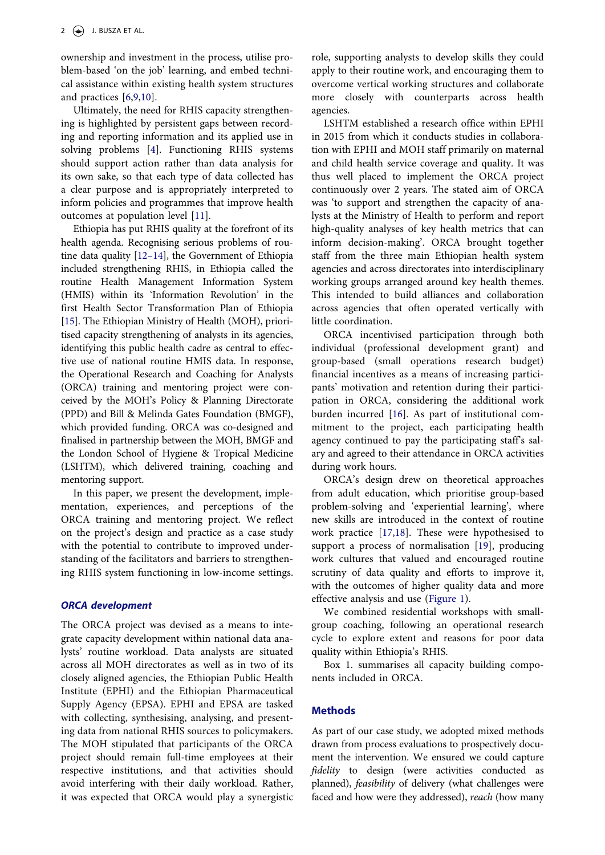ownership and investment in the process, utilise problem-based 'on the job' learning, and embed technical assistance within existing health system structures and practices [[6,](#page-8-1)[9](#page-8-4),[10\]](#page-8-5).

<span id="page-1-0"></span>Ultimately, the need for RHIS capacity strengthening is highlighted by persistent gaps between recording and reporting information and its applied use in solving problems [\[4](#page-7-3)]. Functioning RHIS systems should support action rather than data analysis for its own sake, so that each type of data collected has a clear purpose and is appropriately interpreted to inform policies and programmes that improve health outcomes at population level [[11\]](#page-8-6).

<span id="page-1-3"></span><span id="page-1-2"></span><span id="page-1-1"></span>Ethiopia has put RHIS quality at the forefront of its health agenda. Recognising serious problems of routine data quality [\[12–14](#page-8-7)], the Government of Ethiopia included strengthening RHIS, in Ethiopia called the routine Health Management Information System (HMIS) within its 'Information Revolution' in the first Health Sector Transformation Plan of Ethiopia [\[15](#page-8-8)]. The Ethiopian Ministry of Health (MOH), prioritised capacity strengthening of analysts in its agencies, identifying this public health cadre as central to effective use of national routine HMIS data. In response, the Operational Research and Coaching for Analysts (ORCA) training and mentoring project were conceived by the MOH's Policy & Planning Directorate (PPD) and Bill & Melinda Gates Foundation (BMGF), which provided funding. ORCA was co-designed and finalised in partnership between the MOH, BMGF and the London School of Hygiene & Tropical Medicine (LSHTM), which delivered training, coaching and mentoring support.

In this paper, we present the development, implementation, experiences, and perceptions of the ORCA training and mentoring project. We reflect on the project's design and practice as a case study with the potential to contribute to improved understanding of the facilitators and barriers to strengthening RHIS system functioning in low-income settings.

#### *ORCA development*

The ORCA project was devised as a means to integrate capacity development within national data analysts' routine workload. Data analysts are situated across all MOH directorates as well as in two of its closely aligned agencies, the Ethiopian Public Health Institute (EPHI) and the Ethiopian Pharmaceutical Supply Agency (EPSA). EPHI and EPSA are tasked with collecting, synthesising, analysing, and presenting data from national RHIS sources to policymakers. The MOH stipulated that participants of the ORCA project should remain full-time employees at their respective institutions, and that activities should avoid interfering with their daily workload. Rather, it was expected that ORCA would play a synergistic role, supporting analysts to develop skills they could apply to their routine work, and encouraging them to overcome vertical working structures and collaborate more closely with counterparts across health agencies.

LSHTM established a research office within EPHI in 2015 from which it conducts studies in collaboration with EPHI and MOH staff primarily on maternal and child health service coverage and quality. It was thus well placed to implement the ORCA project continuously over 2 years. The stated aim of ORCA was 'to support and strengthen the capacity of analysts at the Ministry of Health to perform and report high-quality analyses of key health metrics that can inform decision-making'. ORCA brought together staff from the three main Ethiopian health system agencies and across directorates into interdisciplinary working groups arranged around key health themes. This intended to build alliances and collaboration across agencies that often operated vertically with little coordination.

ORCA incentivised participation through both individual (professional development grant) and group-based (small operations research budget) financial incentives as a means of increasing participants' motivation and retention during their participation in ORCA, considering the additional work burden incurred [\[16](#page-8-9)]. As part of institutional commitment to the project, each participating health agency continued to pay the participating staff's salary and agreed to their attendance in ORCA activities during work hours.

<span id="page-1-6"></span><span id="page-1-5"></span><span id="page-1-4"></span>ORCA's design drew on theoretical approaches from adult education, which prioritise group-based problem-solving and 'experiential learning', where new skills are introduced in the context of routine work practice [\[17](#page-8-10),[18\]](#page-8-11). These were hypothesised to support a process of normalisation [[19\]](#page-8-12), producing work cultures that valued and encouraged routine scrutiny of data quality and efforts to improve it, with the outcomes of higher quality data and more effective analysis and use ([Figure 1\)](#page-2-0).

We combined residential workshops with smallgroup coaching, following an operational research cycle to explore extent and reasons for poor data quality within Ethiopia's RHIS.

Box 1. summarises all capacity building components included in ORCA.

#### **Methods**

As part of our case study, we adopted mixed methods drawn from process evaluations to prospectively document the intervention. We ensured we could capture *fidelity* to design (were activities conducted as planned), *feasibility* of delivery (what challenges were faced and how were they addressed), *reach* (how many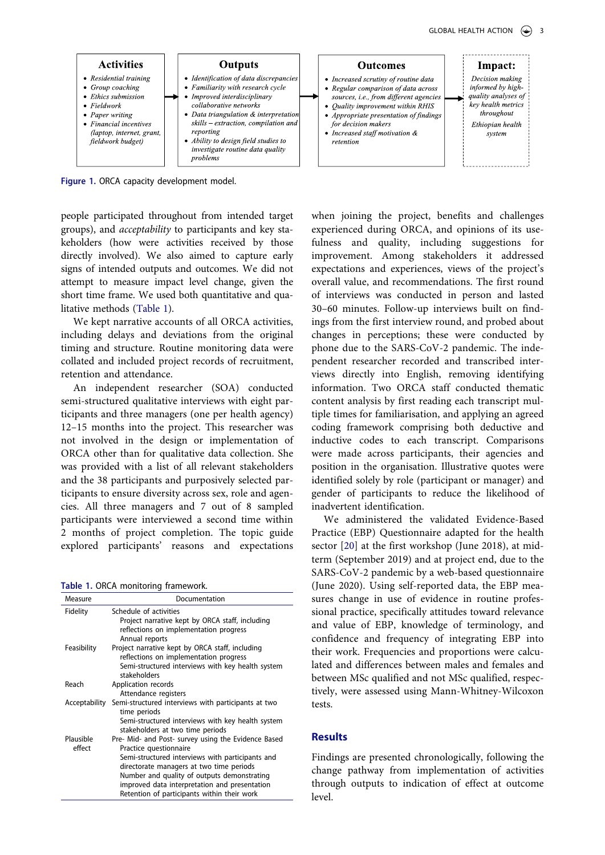

<span id="page-2-0"></span>**Figure 1.** ORCA capacity development model.

people participated throughout from intended target groups), and *acceptability* to participants and key stakeholders (how were activities received by those directly involved). We also aimed to capture early signs of intended outputs and outcomes. We did not attempt to measure impact level change, given the short time frame. We used both quantitative and qualitative methods [\(Table 1\)](#page-2-1).

We kept narrative accounts of all ORCA activities, including delays and deviations from the original timing and structure. Routine monitoring data were collated and included project records of recruitment, retention and attendance.

An independent researcher (SOA) conducted semi-structured qualitative interviews with eight participants and three managers (one per health agency) 12–15 months into the project. This researcher was not involved in the design or implementation of ORCA other than for qualitative data collection. She was provided with a list of all relevant stakeholders and the 38 participants and purposively selected participants to ensure diversity across sex, role and agencies. All three managers and 7 out of 8 sampled participants were interviewed a second time within 2 months of project completion. The topic guide explored participants' reasons and expectations

<span id="page-2-1"></span>**Table 1.** ORCA monitoring framework.

| Measure       | Documentation                                       |
|---------------|-----------------------------------------------------|
| Fidelity      | Schedule of activities                              |
|               | Project narrative kept by ORCA staff, including     |
|               | reflections on implementation progress              |
|               | Annual reports                                      |
| Feasibility   | Project narrative kept by ORCA staff, including     |
|               | reflections on implementation progress              |
|               | Semi-structured interviews with key health system   |
|               | stakeholders                                        |
| Reach         | Application records                                 |
|               | Attendance registers                                |
| Acceptability | Semi-structured interviews with participants at two |
|               | time periods                                        |
|               | Semi-structured interviews with key health system   |
|               | stakeholders at two time periods                    |
| Plausible     | Pre- Mid- and Post- survey using the Evidence Based |
| effect        | Practice questionnaire                              |
|               | Semi-structured interviews with participants and    |
|               | directorate managers at two time periods            |
|               | Number and quality of outputs demonstrating         |
|               | improved data interpretation and presentation       |
|               | Retention of participants within their work         |

when joining the project, benefits and challenges experienced during ORCA, and opinions of its usefulness and quality, including suggestions for improvement. Among stakeholders it addressed expectations and experiences, views of the project's overall value, and recommendations. The first round of interviews was conducted in person and lasted 30–60 minutes. Follow-up interviews built on findings from the first interview round, and probed about changes in perceptions; these were conducted by phone due to the SARS-CoV-2 pandemic. The independent researcher recorded and transcribed interviews directly into English, removing identifying information. Two ORCA staff conducted thematic content analysis by first reading each transcript multiple times for familiarisation, and applying an agreed coding framework comprising both deductive and inductive codes to each transcript. Comparisons were made across participants, their agencies and position in the organisation. Illustrative quotes were identified solely by role (participant or manager) and gender of participants to reduce the likelihood of inadvertent identification.

<span id="page-2-2"></span>We administered the validated Evidence-Based Practice (EBP) Questionnaire adapted for the health sector [[20\]](#page-8-13) at the first workshop (June 2018), at midterm (September 2019) and at project end, due to the SARS-CoV-2 pandemic by a web-based questionnaire (June 2020). Using self-reported data, the EBP measures change in use of evidence in routine professional practice, specifically attitudes toward relevance and value of EBP, knowledge of terminology, and confidence and frequency of integrating EBP into their work. Frequencies and proportions were calculated and differences between males and females and between MSc qualified and not MSc qualified, respectively, were assessed using Mann-Whitney-Wilcoxon tests.

# **Results**

Findings are presented chronologically, following the change pathway from implementation of activities through outputs to indication of effect at outcome level.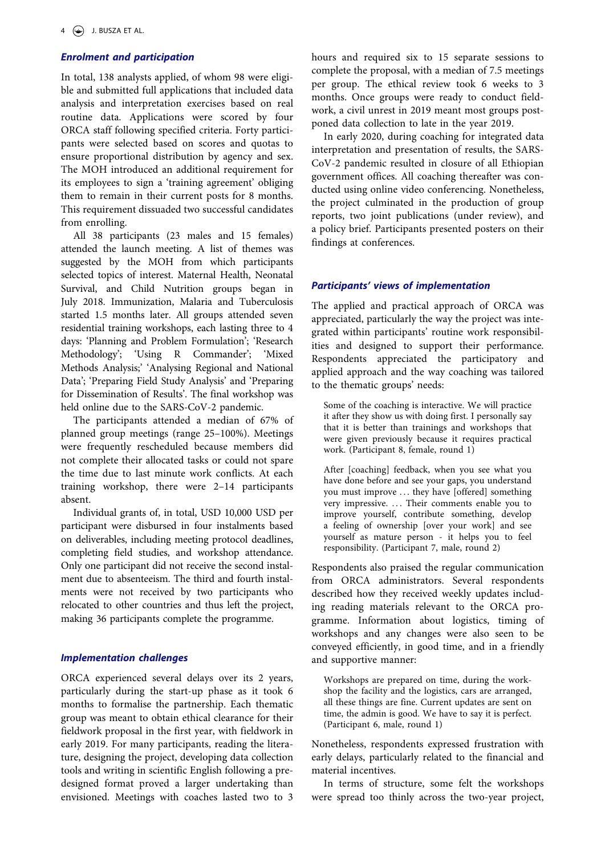# *Enrolment and participation*

In total, 138 analysts applied, of whom 98 were eligible and submitted full applications that included data analysis and interpretation exercises based on real routine data. Applications were scored by four ORCA staff following specified criteria. Forty participants were selected based on scores and quotas to ensure proportional distribution by agency and sex. The MOH introduced an additional requirement for its employees to sign a 'training agreement' obliging them to remain in their current posts for 8 months. This requirement dissuaded two successful candidates from enrolling.

All 38 participants (23 males and 15 females) attended the launch meeting. A list of themes was suggested by the MOH from which participants selected topics of interest. Maternal Health, Neonatal Survival, and Child Nutrition groups began in July 2018. Immunization, Malaria and Tuberculosis started 1.5 months later. All groups attended seven residential training workshops, each lasting three to 4 days: 'Planning and Problem Formulation'; 'Research Methodology'; 'Using R Commander'; 'Mixed Methods Analysis;' 'Analysing Regional and National Data'; 'Preparing Field Study Analysis' and 'Preparing for Dissemination of Results'. The final workshop was held online due to the SARS-CoV-2 pandemic.

The participants attended a median of 67% of planned group meetings (range 25–100%). Meetings were frequently rescheduled because members did not complete their allocated tasks or could not spare the time due to last minute work conflicts. At each training workshop, there were 2–14 participants absent.

Individual grants of, in total, USD 10,000 USD per participant were disbursed in four instalments based on deliverables, including meeting protocol deadlines, completing field studies, and workshop attendance. Only one participant did not receive the second instalment due to absenteeism. The third and fourth instalments were not received by two participants who relocated to other countries and thus left the project, making 36 participants complete the programme.

#### *Implementation challenges*

ORCA experienced several delays over its 2 years, particularly during the start-up phase as it took 6 months to formalise the partnership. Each thematic group was meant to obtain ethical clearance for their fieldwork proposal in the first year, with fieldwork in early 2019. For many participants, reading the literature, designing the project, developing data collection tools and writing in scientific English following a predesigned format proved a larger undertaking than envisioned. Meetings with coaches lasted two to 3 hours and required six to 15 separate sessions to complete the proposal, with a median of 7.5 meetings per group. The ethical review took 6 weeks to 3 months. Once groups were ready to conduct fieldwork, a civil unrest in 2019 meant most groups postponed data collection to late in the year 2019.

In early 2020, during coaching for integrated data interpretation and presentation of results, the SARS-CoV-2 pandemic resulted in closure of all Ethiopian government offices. All coaching thereafter was conducted using online video conferencing. Nonetheless, the project culminated in the production of group reports, two joint publications (under review), and a policy brief. Participants presented posters on their findings at conferences.

### *Participants' views of implementation*

The applied and practical approach of ORCA was appreciated, particularly the way the project was integrated within participants' routine work responsibilities and designed to support their performance. Respondents appreciated the participatory and applied approach and the way coaching was tailored to the thematic groups' needs:

Some of the coaching is interactive. We will practice it after they show us with doing first. I personally say that it is better than trainings and workshops that were given previously because it requires practical work. (Participant 8, female, round 1)

After [coaching] feedback, when you see what you have done before and see your gaps, you understand you must improve ... they have [offered] something very impressive. ... Their comments enable you to improve yourself, contribute something, develop a feeling of ownership [over your work] and see yourself as mature person - it helps you to feel responsibility. (Participant 7, male, round 2)

Respondents also praised the regular communication from ORCA administrators. Several respondents described how they received weekly updates including reading materials relevant to the ORCA programme. Information about logistics, timing of workshops and any changes were also seen to be conveyed efficiently, in good time, and in a friendly and supportive manner:

Workshops are prepared on time, during the workshop the facility and the logistics, cars are arranged, all these things are fine. Current updates are sent on time, the admin is good. We have to say it is perfect. (Participant 6, male, round 1)

Nonetheless, respondents expressed frustration with early delays, particularly related to the financial and material incentives.

In terms of structure, some felt the workshops were spread too thinly across the two-year project,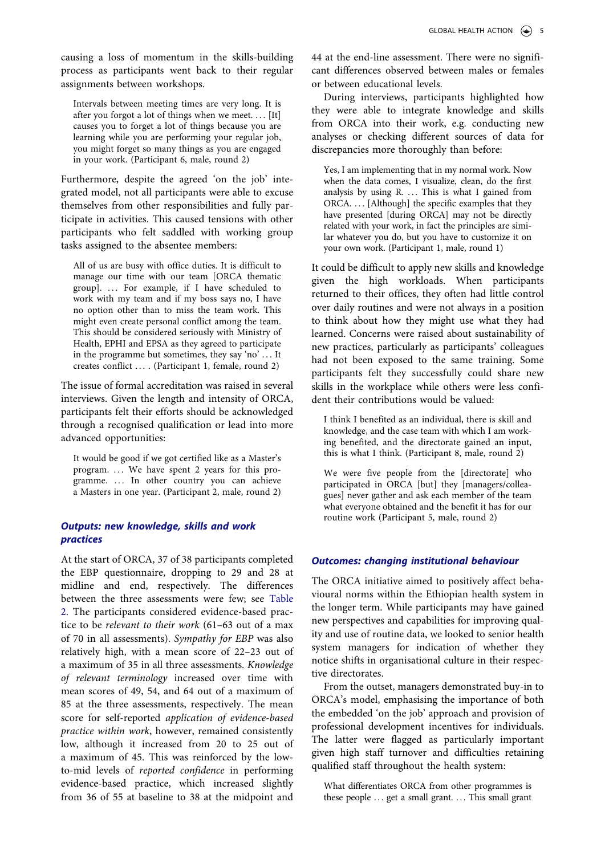causing a loss of momentum in the skills-building process as participants went back to their regular assignments between workshops.

Intervals between meeting times are very long. It is after you forgot a lot of things when we meet. . . . [It] causes you to forget a lot of things because you are learning while you are performing your regular job, you might forget so many things as you are engaged in your work. (Participant 6, male, round 2)

Furthermore, despite the agreed 'on the job' integrated model, not all participants were able to excuse themselves from other responsibilities and fully participate in activities. This caused tensions with other participants who felt saddled with working group tasks assigned to the absentee members:

All of us are busy with office duties. It is difficult to manage our time with our team [ORCA thematic group]. . . . For example, if I have scheduled to work with my team and if my boss says no, I have no option other than to miss the team work. This might even create personal conflict among the team. This should be considered seriously with Ministry of Health, EPHI and EPSA as they agreed to participate in the programme but sometimes, they say 'no' ... It creates conflict . . . . (Participant 1, female, round 2)

The issue of formal accreditation was raised in several interviews. Given the length and intensity of ORCA, participants felt their efforts should be acknowledged through a recognised qualification or lead into more advanced opportunities:

It would be good if we got certified like as a Master's program. ... We have spent 2 years for this programme. ... In other country you can achieve a Masters in one year. (Participant 2, male, round 2)

# *Outputs: new knowledge, skills and work practices*

At the start of ORCA, 37 of 38 participants completed the EBP questionnaire, dropping to 29 and 28 at midline and end, respectively. The differences between the three assessments were few; see [Table](#page-5-0)  [2](#page-5-0). The participants considered evidence-based practice to be *relevant to their work* (61–63 out of a max of 70 in all assessments). *Sympathy for EBP* was also relatively high, with a mean score of 22–23 out of a maximum of 35 in all three assessments. *Knowledge of relevant terminology* increased over time with mean scores of 49, 54, and 64 out of a maximum of 85 at the three assessments, respectively. The mean score for self-reported *application of evidence-based practice within work*, however, remained consistently low, although it increased from 20 to 25 out of a maximum of 45. This was reinforced by the lowto-mid levels of *reported confidence* in performing evidence-based practice, which increased slightly from 36 of 55 at baseline to 38 at the midpoint and

44 at the end-line assessment. There were no significant differences observed between males or females or between educational levels.

During interviews, participants highlighted how they were able to integrate knowledge and skills from ORCA into their work, e.g. conducting new analyses or checking different sources of data for discrepancies more thoroughly than before:

Yes, I am implementing that in my normal work. Now when the data comes, I visualize, clean, do the first analysis by using R. ... This is what I gained from ORCA. . . . [Although] the specific examples that they have presented [during ORCA] may not be directly related with your work, in fact the principles are similar whatever you do, but you have to customize it on your own work. (Participant 1, male, round 1)

It could be difficult to apply new skills and knowledge given the high workloads. When participants returned to their offices, they often had little control over daily routines and were not always in a position to think about how they might use what they had learned. Concerns were raised about sustainability of new practices, particularly as participants' colleagues had not been exposed to the same training. Some participants felt they successfully could share new skills in the workplace while others were less confident their contributions would be valued:

I think I benefited as an individual, there is skill and knowledge, and the case team with which I am working benefited, and the directorate gained an input, this is what I think. (Participant 8, male, round 2)

We were five people from the [directorate] who participated in ORCA [but] they [managers/colleagues] never gather and ask each member of the team what everyone obtained and the benefit it has for our routine work (Participant 5, male, round 2)

# *Outcomes: changing institutional behaviour*

The ORCA initiative aimed to positively affect behavioural norms within the Ethiopian health system in the longer term. While participants may have gained new perspectives and capabilities for improving quality and use of routine data, we looked to senior health system managers for indication of whether they notice shifts in organisational culture in their respective directorates.

From the outset, managers demonstrated buy-in to ORCA's model, emphasising the importance of both the embedded 'on the job' approach and provision of professional development incentives for individuals. The latter were flagged as particularly important given high staff turnover and difficulties retaining qualified staff throughout the health system:

What differentiates ORCA from other programmes is these people ... get a small grant. ... This small grant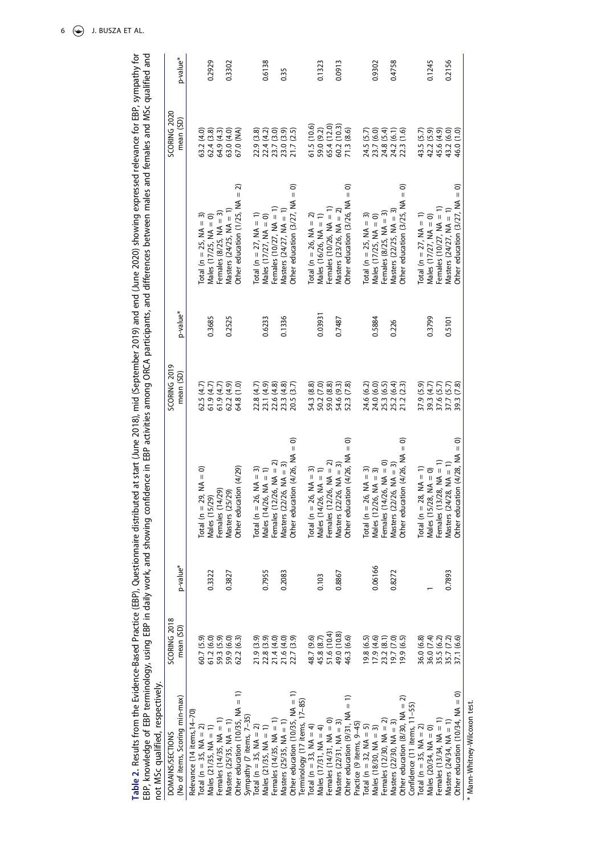<span id="page-5-0"></span>

| not MSc qualified, respectively.           |                                                      |                      | EBP, knowledge of EBP terminology, using EBP in daily work, and showing confidence in EBP activities among ORCA participants, and differences between males and females and MSc qualified and |                        |                      |                                                              |                           |          |
|--------------------------------------------|------------------------------------------------------|----------------------|-----------------------------------------------------------------------------------------------------------------------------------------------------------------------------------------------|------------------------|----------------------|--------------------------------------------------------------|---------------------------|----------|
| DOMAINS/SECTIONS                           | SCORING 2018                                         |                      |                                                                                                                                                                                               | SCORING 2019           |                      |                                                              | SCORING 2020              |          |
| (No of items, Scoring min-max)             | mean (SD)                                            | p-value <sup>*</sup> |                                                                                                                                                                                               | mean (SD)              | p-value <sup>*</sup> |                                                              | mean (SD)                 | p-value* |
| Relevance (14 items, 14-70)                |                                                      |                      |                                                                                                                                                                                               |                        |                      |                                                              |                           |          |
| Total (n = 35, $NA = 2$ )                  | 60.7 (5.9)                                           |                      | Total ( $n = 29$ , $MA = 0$ )                                                                                                                                                                 | 62.5(4.7)              |                      |                                                              | 63.2 (4.0)                |          |
| Males $(21/35, NA = 1)$                    | 61.2(6.0)                                            | 0.3322               | Males (15/29)                                                                                                                                                                                 | 61.9(4.7)              | 0.3685               | Total (n = 25, NA = 3)<br>Males (17/25, NA = 0)              | 62.4 (3.8)                | 0.2929   |
| Females $(14/35, NA = 1)$                  |                                                      |                      | (14/29)<br>Females                                                                                                                                                                            | 61.9(4.7)              |                      | Females $(8/25, NA = 3)$                                     | 64.9 (4.3)                |          |
| Masters $(25/35, NA = 1)$                  | 59.3 (5.9)<br>59.9 (6.0)                             | 0.3827               | Masters (25/29)                                                                                                                                                                               | 62.2(4.9)              | 0.2525               | Masters $(24/25, NA = 1)$                                    | 63.0 (4.0)                | 0.3302   |
| Other education (10/35, NA $=$             | 62.2(6.3)                                            |                      | Other education (4/29)                                                                                                                                                                        | $\overline{0}$<br>64.8 |                      | 2<br>$\mathop{\rm II}\nolimits$<br>Other education (1/25, NA | R<br>S<br>67.0            |          |
| Sympathy (7 items, 7-35)                   |                                                      |                      |                                                                                                                                                                                               |                        |                      |                                                              |                           |          |
| Total ( $n = 35$ , NA = 2)                 |                                                      |                      | Total ( $n = 26$ , $NA = 3$ )                                                                                                                                                                 | 22.8 (4.7)             |                      | Total (n = 27, $NA = 1$ )                                    | 22.9 (3.8)                |          |
| Males $(21/35, NA = 1)$                    | 21.9 (3.9)<br>22.8 (3.9)<br>21.4 (4.0)               | 0.7955               | Males $(14/26, NA = 1)$                                                                                                                                                                       | 23.1 (4.9)             | 0.6233               | Males $(17/27, NA = 0)$                                      | 22.4 (4.2)<br>23.7 (3.0)  | 0.6138   |
| Females (14/35, NA = 1)                    |                                                      |                      | $(12/26, NA = 2)$<br>Females                                                                                                                                                                  | 22.6 (4.8)             |                      | Females $(10/27, NA = 1)$                                    |                           |          |
| Masters $(25/35, NA = 1)$                  | 21.6 (4.0)                                           | 0.2083               | Masters $(22/26, NA = 3)$                                                                                                                                                                     | (4.8)<br>23.3(         | 0.1336               | Masters $(24/27, NA = 1)$                                    | 23.0 (3.9)                | 0.35     |
| Other education $(10/35, NA = 1)$          | 22.7 (3.9)                                           |                      | Other education $(4/26, NA = 0)$                                                                                                                                                              | <u>ઉ.7</u><br>20.5     |                      | ට<br>$\mathbf{I}$<br>Other education (3/27, NA               | (2.5)<br>21.7             |          |
| Terminology (17 items, 17-85)              |                                                      |                      |                                                                                                                                                                                               |                        |                      |                                                              |                           |          |
| Total (n = 33, $NA = 4$ )                  | 48.7 (9.6)                                           |                      | Total ( $n = 26$ , $NA = 3$ )                                                                                                                                                                 | 54.3 (8.8)             |                      | Total (n = 26, $NA = 2$ )                                    | 61.5 (10.6)               |          |
| Males $(17/31, NA = 4)$                    |                                                      | 0.103                | Males $(14/26, NA = 1)$                                                                                                                                                                       | 50.2 (7.0)             | 0.03931              | Males (16/26, $NA = 1$ )                                     | 59.0 (9.2)                | 0.1323   |
| Females $(14/31, NA = 0)$                  | 45.8 (8.7)<br>51.6 (10.4)                            |                      | $(12/26, NA = 2)$<br>Females                                                                                                                                                                  | 59.0 (8.8)             |                      | Females $(10/26, NA = 1)$                                    | 65.4 (12.0)               |          |
| Masters $(22/31, NA = 3)$                  | 49.0 (10.8)<br>46.3 (6.6)                            | 0.8867               | Masters $(22/26, NA = 3)$                                                                                                                                                                     | 54.6 (9.3)             | 0.7487               | Masters $(23/26, NA = 2)$                                    |                           | 0.0913   |
| $\widehat{=}$<br>Other education (9/31, NA |                                                      |                      | ට<br>Other education $(4/26, NA =$                                                                                                                                                            | (7.8)<br>52.3          |                      | ට<br>$\mathbf{I}$<br>Other education (3/26, NA               | 60.2 (10.3)<br>71.3 (8.6) |          |
| Practice (9 items, 9-45)                   |                                                      |                      |                                                                                                                                                                                               |                        |                      |                                                              |                           |          |
| Total (n = 32, $NA = 5$ )                  |                                                      |                      | Total ( $n = 26$ , $NA = 3$ )                                                                                                                                                                 | 24.6 (6.2)             |                      | Total (n = 25, $NA = 3$ )                                    |                           |          |
| Males $(18/30, NA = 3)$                    | 19.8 (6.5)<br>17.9 (4.6)                             | 0.06166              | Males $(12/26, NA = 3)$                                                                                                                                                                       | 24.0 (6.0)             | 0.5884               | Males (17/25, $NA = 0$ )                                     | 24.5 (5.7)<br>23.7 (6.0)  | 0.9302   |
| Females $(12/30, NA = 2)$                  | 23.2 (8.1)<br>19.7 (7.0)                             |                      | $(14/26, NA = 0)$<br>Females                                                                                                                                                                  | (6.5)<br>25.3          |                      | Females $(8/25, NA = 3)$                                     | 24.8 (5.4)                |          |
| Masters $(22/30, NA = 3)$                  |                                                      | 0.8272               | Masters $(22/26, NA = 3)$                                                                                                                                                                     | 25.2 (6.4)             | 0.226                | Masters (22/25, $NA = 3$ )                                   | 24.2 (6.1)                | 0.4758   |
| Other education $(8/30, NA = 2)$           | 19.9(6.5)                                            |                      | ට<br>Other education $(4/26, NA =$                                                                                                                                                            | (2.3)<br>21.2          |                      | ට<br>$\mathbf{I}$<br>Other education (3/25, NA               | (1.6)<br>22.3             |          |
| Confidence (11 items, 11-55)               |                                                      |                      |                                                                                                                                                                                               |                        |                      |                                                              |                           |          |
| Total (n = 35, $MA = 2$ )                  | 36.0 (6.8)                                           |                      | Total ( $n = 28$ , NA = 1)                                                                                                                                                                    | 37.9 (5.9)             |                      | Total (n = 27, $NA = 1$ )                                    | 43.5 (5.7)                |          |
| Males $(20/34, NA = 0)$                    |                                                      |                      | Males $(15/28, NA = 0)$                                                                                                                                                                       | 39.3 (4.7)             | 0.3799               | Males $(17/27, NA = 0)$                                      | 42.2 (5.9)                | 0.1245   |
| Females $(13/34, NA = 1)$                  |                                                      |                      | $(13/28, NA = 1)$<br>Females                                                                                                                                                                  | 37.6 (5.7)             |                      | Females $(10/27, NA = 1)$                                    | 45.6 (4.9)                |          |
| Masters $(24/34, NA = 1)$                  | 36.0 (7.4)<br>35.5 (6.2)<br>35.7 (7.2)<br>37.1 (6.6) | 0.7893               | Masters $(24/28, NA = 1)$                                                                                                                                                                     | 37.7 (5.7)             | 0.5101               | Masters $(24/27, NA = 1)$                                    | 43.2 (6.0)                | 0.2156   |
| Other education (10/34, NA = 0)            |                                                      |                      | Other education $(4/28, NA = 0)$                                                                                                                                                              | 39.3 (7.8)             |                      | Other education $(3/27, NA = 0)$                             | 46.0 (1.0)                |          |

Table 2. Results from the Evidence-Based Practice (EBP), Questionnaire distributed at start (June 2018), mid (September 2019) and end (June 2020) showing expressed relevance for EBP, sympathy for<br>EBP, knowledge of EBP term **Table 2.** Results from the Evidence-Based Practice (EBP), Questionnaire distributed at start (June 2018), mid (September 2019) and end (June 2020) showing expressed relevance for EBP, sympathy for

6  $\bigodot$  J. BUSZA ET AL.

\* Mann-Whitney-Wilcoxon test. \* Mann-Whitney-Wilcoxon test.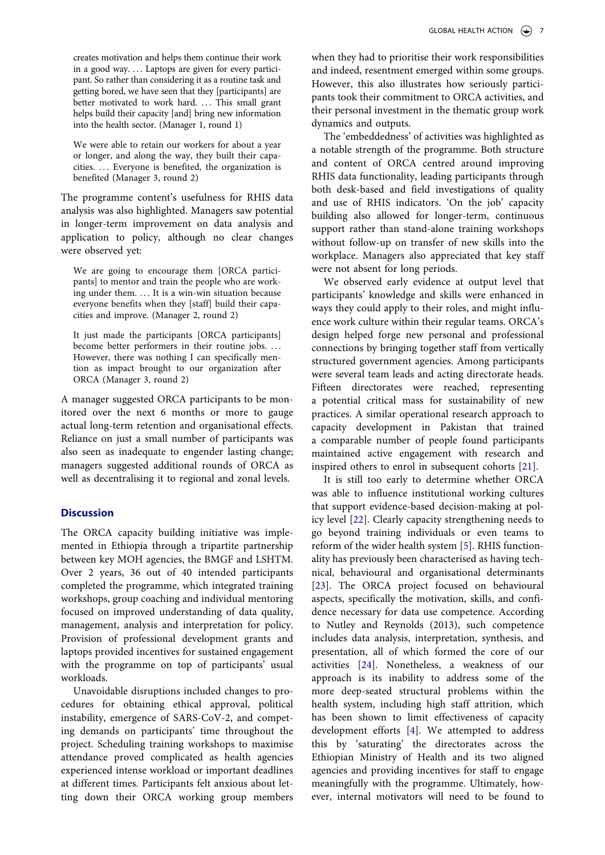creates motivation and helps them continue their work in a good way. ... Laptops are given for every participant. So rather than considering it as a routine task and getting bored, we have seen that they [participants] are better motivated to work hard. ... This small grant helps build their capacity [and] bring new information into the health sector. (Manager 1, round 1)

We were able to retain our workers for about a year or longer, and along the way, they built their capacities. . . . Everyone is benefited, the organization is benefited (Manager 3, round 2)

The programme content's usefulness for RHIS data analysis was also highlighted. Managers saw potential in longer-term improvement on data analysis and application to policy, although no clear changes were observed yet:

We are going to encourage them [ORCA participants] to mentor and train the people who are working under them. ... It is a win-win situation because everyone benefits when they [staff] build their capacities and improve. (Manager 2, round 2)

It just made the participants [ORCA participants] become better performers in their routine jobs. ... However, there was nothing I can specifically mention as impact brought to our organization after ORCA (Manager 3, round 2)

A manager suggested ORCA participants to be monitored over the next 6 months or more to gauge actual long-term retention and organisational effects. Reliance on just a small number of participants was also seen as inadequate to engender lasting change; managers suggested additional rounds of ORCA as well as decentralising it to regional and zonal levels.

# **Discussion**

The ORCA capacity building initiative was implemented in Ethiopia through a tripartite partnership between key MOH agencies, the BMGF and LSHTM. Over 2 years, 36 out of 40 intended participants completed the programme, which integrated training workshops, group coaching and individual mentoring focused on improved understanding of data quality, management, analysis and interpretation for policy. Provision of professional development grants and laptops provided incentives for sustained engagement with the programme on top of participants' usual workloads.

Unavoidable disruptions included changes to procedures for obtaining ethical approval, political instability, emergence of SARS-CoV-2, and competing demands on participants' time throughout the project. Scheduling training workshops to maximise attendance proved complicated as health agencies experienced intense workload or important deadlines at different times. Participants felt anxious about letting down their ORCA working group members

when they had to prioritise their work responsibilities and indeed, resentment emerged within some groups. However, this also illustrates how seriously participants took their commitment to ORCA activities, and their personal investment in the thematic group work dynamics and outputs.

The 'embeddedness' of activities was highlighted as a notable strength of the programme. Both structure and content of ORCA centred around improving RHIS data functionality, leading participants through both desk-based and field investigations of quality and use of RHIS indicators. 'On the job' capacity building also allowed for longer-term, continuous support rather than stand-alone training workshops without follow-up on transfer of new skills into the workplace. Managers also appreciated that key staff were not absent for long periods.

We observed early evidence at output level that participants' knowledge and skills were enhanced in ways they could apply to their roles, and might influence work culture within their regular teams. ORCA's design helped forge new personal and professional connections by bringing together staff from vertically structured government agencies. Among participants were several team leads and acting directorate heads. Fifteen directorates were reached, representing a potential critical mass for sustainability of new practices. A similar operational research approach to capacity development in Pakistan that trained a comparable number of people found participants maintained active engagement with research and inspired others to enrol in subsequent cohorts [[21\]](#page-8-14).

<span id="page-6-3"></span><span id="page-6-2"></span><span id="page-6-1"></span><span id="page-6-0"></span>It is still too early to determine whether ORCA was able to influence institutional working cultures that support evidence-based decision-making at policy level [[22\]](#page-8-15). Clearly capacity strengthening needs to go beyond training individuals or even teams to reform of the wider health system [\[5](#page-8-0)]. RHIS functionality has previously been characterised as having technical, behavioural and organisational determinants [\[23](#page-8-16)]. The ORCA project focused on behavioural aspects, specifically the motivation, skills, and confidence necessary for data use competence. According to Nutley and Reynolds (2013), such competence includes data analysis, interpretation, synthesis, and presentation, all of which formed the core of our activities [[24\]](#page-8-17). Nonetheless, a weakness of our approach is its inability to address some of the more deep-seated structural problems within the health system, including high staff attrition, which has been shown to limit effectiveness of capacity development efforts [[4\]](#page-7-3). We attempted to address this by 'saturating' the directorates across the Ethiopian Ministry of Health and its two aligned agencies and providing incentives for staff to engage meaningfully with the programme. Ultimately, however, internal motivators will need to be found to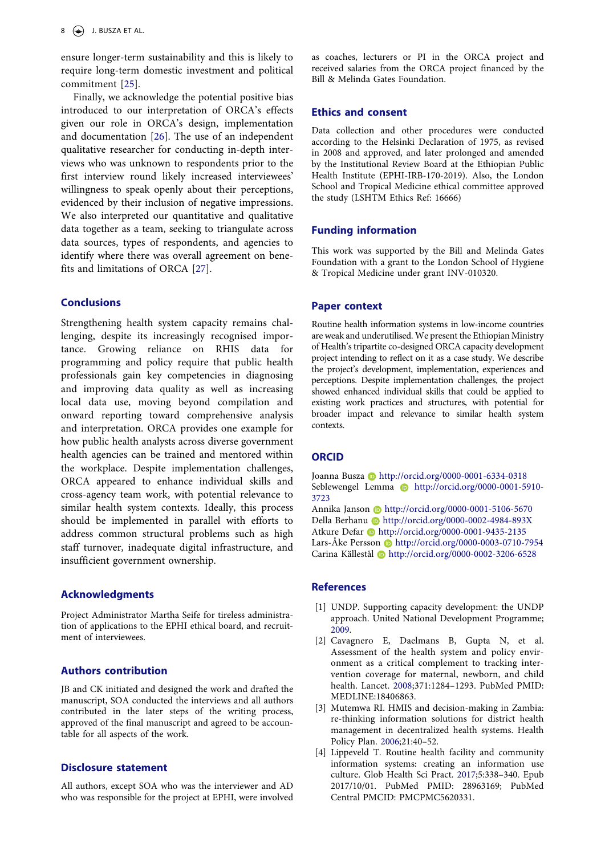ensure longer-term sustainability and this is likely to require long-term domestic investment and political commitment [\[25](#page-8-18)].

<span id="page-7-5"></span><span id="page-7-4"></span>Finally, we acknowledge the potential positive bias introduced to our interpretation of ORCA's effects given our role in ORCA's design, implementation and documentation [[26\]](#page-8-19). The use of an independent qualitative researcher for conducting in-depth interviews who was unknown to respondents prior to the first interview round likely increased interviewees' willingness to speak openly about their perceptions, evidenced by their inclusion of negative impressions. We also interpreted our quantitative and qualitative data together as a team, seeking to triangulate across data sources, types of respondents, and agencies to identify where there was overall agreement on benefits and limitations of ORCA [[27\]](#page-8-20).

# <span id="page-7-6"></span>**Conclusions**

Strengthening health system capacity remains challenging, despite its increasingly recognised importance. Growing reliance on RHIS data for programming and policy require that public health professionals gain key competencies in diagnosing and improving data quality as well as increasing local data use, moving beyond compilation and onward reporting toward comprehensive analysis and interpretation. ORCA provides one example for how public health analysts across diverse government health agencies can be trained and mentored within the workplace. Despite implementation challenges, ORCA appeared to enhance individual skills and cross-agency team work, with potential relevance to similar health system contexts. Ideally, this process should be implemented in parallel with efforts to address common structural problems such as high staff turnover, inadequate digital infrastructure, and insufficient government ownership.

# **Acknowledgments**

Project Administrator Martha Seife for tireless administration of applications to the EPHI ethical board, and recruitment of interviewees.

# **Authors contribution**

JB and CK initiated and designed the work and drafted the manuscript, SOA conducted the interviews and all authors contributed in the later steps of the writing process, approved of the final manuscript and agreed to be accountable for all aspects of the work.

# **Disclosure statement**

All authors, except SOA who was the interviewer and AD who was responsible for the project at EPHI, were involved as coaches, lecturers or PI in the ORCA project and received salaries from the ORCA project financed by the Bill & Melinda Gates Foundation.

## **Ethics and consent**

Data collection and other procedures were conducted according to the Helsinki Declaration of 1975, as revised in 2008 and approved, and later prolonged and amended by the Institutional Review Board at the Ethiopian Public Health Institute (EPHI-IRB-170-2019). Also, the London School and Tropical Medicine ethical committee approved the study (LSHTM Ethics Ref: 16666)

# **Funding information**

This work was supported by the Bill and Melinda Gates Foundation with a grant to the London School of Hygiene & Tropical Medicine under grant INV-010320.

## **Paper context**

Routine health information systems in low-income countries are weak and underutilised. We present the Ethiopian Ministry of Health's tripartite co-designed ORCA capacity development project intending to reflect on it as a case study. We describe the project's development, implementation, experiences and perceptions. Despite implementation challenges, the project showed enhanced individual skills that could be applied to existing work practices and structures, with potential for broader impact and relevance to similar health system contexts.

#### **ORCID**

Joanna Busza **http://orcid.org/0000-0001-6334-0318** Seblewengel Lemma **http://orcid.org/0000-0001-5910-**3723

Annika Janson Dhttp://orcid.org/0000-0001-5106-5670 Della Berhanu **b** http://orcid.org/0000-0002-4984-893X Atkure Defar **b** http://orcid.org/0000-0001-9435-2135 Lars-Åke Persson @ http://orcid.org/0000-0003-0710-7954 Carina Källestål **b** http://orcid.org/0000-0002-3206-6528

#### **References**

- <span id="page-7-0"></span>[1] UNDP. Supporting capacity development: the UNDP approach. United National Development Programme; [2009.](#page-0-4)
- <span id="page-7-1"></span>[2] Cavagnero E, Daelmans B, Gupta N, et al. Assessment of the health system and policy environment as a critical complement to tracking intervention coverage for maternal, newborn, and child health. Lancet. [2008;](#page-0-5)371:1284–1293. PubMed PMID: MEDLINE:18406863.
- <span id="page-7-2"></span>[3] Mutemwa RI. HMIS and decision-making in Zambia: re-thinking information solutions for district health management in decentralized health systems. Health Policy Plan. [2006;](#page-0-5)21:40–52.
- <span id="page-7-3"></span>[4] Lippeveld T. Routine health facility and community information systems: creating an information use culture. Glob Health Sci Pract. [2017](#page-0-6);5:338–340. Epub 2017/10/01. PubMed PMID: 28963169; PubMed Central PMCID: PMCPMC5620331.